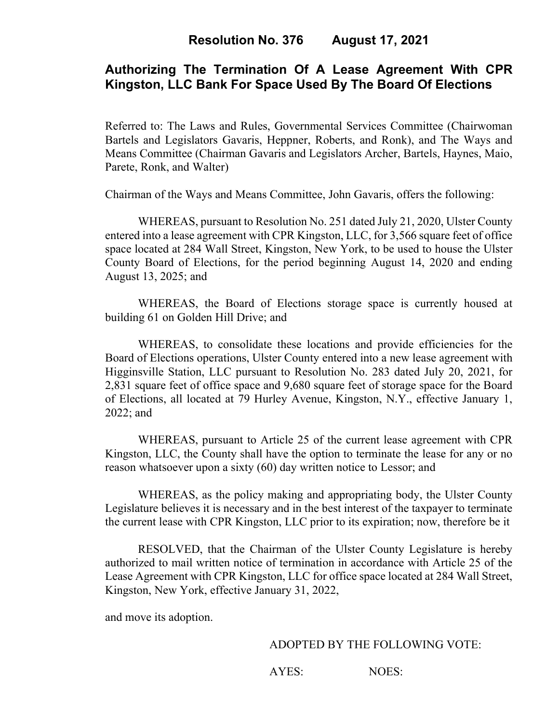# **Authorizing The Termination Of A Lease Agreement With CPR Kingston, LLC Bank For Space Used By The Board Of Elections**

Referred to: The Laws and Rules, Governmental Services Committee (Chairwoman Bartels and Legislators Gavaris, Heppner, Roberts, and Ronk), and The Ways and Means Committee (Chairman Gavaris and Legislators Archer, Bartels, Haynes, Maio, Parete, Ronk, and Walter)

Chairman of the Ways and Means Committee, John Gavaris, offers the following:

WHEREAS, pursuant to Resolution No. 251 dated July 21, 2020, Ulster County entered into a lease agreement with CPR Kingston, LLC, for 3,566 square feet of office space located at 284 Wall Street, Kingston, New York, to be used to house the Ulster County Board of Elections, for the period beginning August 14, 2020 and ending August 13, 2025; and

WHEREAS, the Board of Elections storage space is currently housed at building 61 on Golden Hill Drive; and

WHEREAS, to consolidate these locations and provide efficiencies for the Board of Elections operations, Ulster County entered into a new lease agreement with Higginsville Station, LLC pursuant to Resolution No. 283 dated July 20, 2021, for 2,831 square feet of office space and 9,680 square feet of storage space for the Board of Elections, all located at 79 Hurley Avenue, Kingston, N.Y., effective January 1, 2022; and

WHEREAS, pursuant to Article 25 of the current lease agreement with CPR Kingston, LLC, the County shall have the option to terminate the lease for any or no reason whatsoever upon a sixty (60) day written notice to Lessor; and

WHEREAS, as the policy making and appropriating body, the Ulster County Legislature believes it is necessary and in the best interest of the taxpayer to terminate the current lease with CPR Kingston, LLC prior to its expiration; now, therefore be it

RESOLVED, that the Chairman of the Ulster County Legislature is hereby authorized to mail written notice of termination in accordance with Article 25 of the Lease Agreement with CPR Kingston, LLC for office space located at 284 Wall Street, Kingston, New York, effective January 31, 2022,

and move its adoption.

#### ADOPTED BY THE FOLLOWING VOTE:

AYES: NOES: